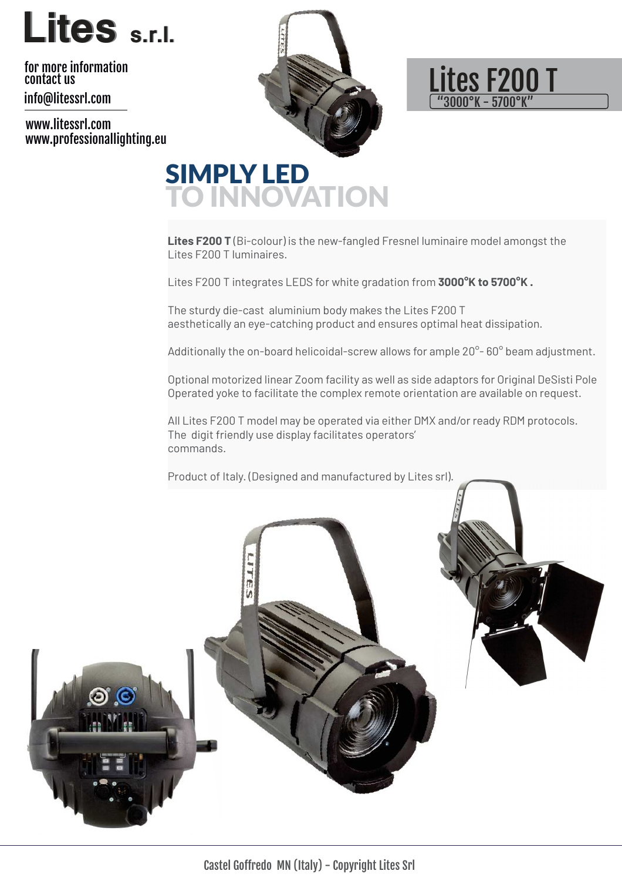

info@litessrl.com for more information contact us

www.litessrl.com www.professionallighting.eu





### SIMPLY LED TO INNOVATION

**Lites F200 T** (Bi-colour) is the new-fangled Fresnel luminaire model amongst the Lites F200 T luminaires.

Lites F200 T integrates LEDS for white gradation from **3000°K to 5700°K .** 

The sturdy die-cast aluminium body makes the Lites F200 T aesthetically an eye-catching product and ensures optimal heat dissipation.

Additionally the on-board helicoidal-screw allows for ample 20°-60° beam adjustment.

Optional motorized linear Zoom facility as well as side adaptors for Original DeSisti Pole Operated yoke to facilitate the complex remote orientation are available on request.

All Lites F200 T model may be operated via either DMX and/or ready RDM protocols. The digit friendly use display facilitates operators' commands.

Product of Italy. (Designed and manufactured by Lites srl).

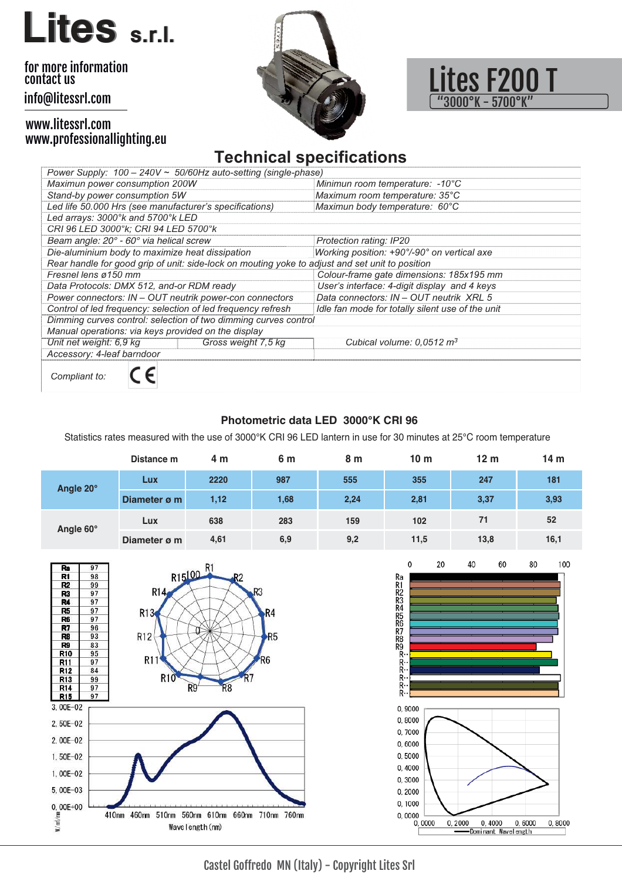# **Lites s.r.l.**

#### info@litessrl.com for more information contact us

#### www.litessrl.com www.professionallighting.eu





### **Technical specifications**

| Power Supply: $100 - 240V \approx 50/60$ Hz auto-setting (single-phase)                         |                                                  |  |  |  |  |  |
|-------------------------------------------------------------------------------------------------|--------------------------------------------------|--|--|--|--|--|
| Maximun power consumption 200W                                                                  | Minimun room temperature: -10°C                  |  |  |  |  |  |
| Stand-by power consumption 5W                                                                   | Maximum room temperature: 35°C                   |  |  |  |  |  |
| Led life 50.000 Hrs (see manufacturer's specifications)                                         | Maximun body temperature: 60°C                   |  |  |  |  |  |
| Led arrays: 3000°k and 5700°k LED                                                               |                                                  |  |  |  |  |  |
| CRI 96 LED 3000°k; CRI 94 LED 5700°k                                                            |                                                  |  |  |  |  |  |
| Beam angle: 20° - 60° via helical screw                                                         | Protection rating: IP20                          |  |  |  |  |  |
| Die-aluminium body to maximize heat dissipation                                                 | Working position: +90°/-90° on vertical axe      |  |  |  |  |  |
| Rear handle for good grip of unit: side-lock on mouting yoke to adjust and set unit to position |                                                  |  |  |  |  |  |
| Fresnel lens ø150 mm                                                                            | Colour-frame gate dimensions: 185x195 mm         |  |  |  |  |  |
| Data Protocols: DMX 512, and-or RDM ready                                                       | User's interface: 4-digit display and 4 keys     |  |  |  |  |  |
| Power connectors: IN - OUT neutrik power-con connectors                                         | Data connectors: IN - OUT neutrik XRL 5          |  |  |  |  |  |
| Control of led frequency: selection of led frequency refresh                                    | Idle fan mode for totally silent use of the unit |  |  |  |  |  |
| Dimming curves control: selection of two dimming curves control                                 |                                                  |  |  |  |  |  |
| Manual operations: via keys provided on the display                                             |                                                  |  |  |  |  |  |
| Unit net weight: 6,9 kg<br>Gross weight 7,5 kg                                                  | Cubical volume: $0.0512 \text{ m}^3$             |  |  |  |  |  |
| Accessory: 4-leaf barndoor                                                                      |                                                  |  |  |  |  |  |
| Compliant to:                                                                                   |                                                  |  |  |  |  |  |

#### **Photometric data LED 3000°K CRI 96**

Statistics rates measured with the use of 3000°K CRI 96 LED lantern in use for 30 minutes at 25°C room temperature

|           | Distance m   | 4 m  | 6 m  | 8 m  | 10 <sub>m</sub> | 12 <sub>m</sub> | 14 <sub>m</sub> |
|-----------|--------------|------|------|------|-----------------|-----------------|-----------------|
| Angle 20° | Lux          | 2220 | 987  | 555  | 355             | 247             | 181             |
|           | Diameter ø m | 1,12 | 1,68 | 2,24 | 2,81            | 3,37            | 3,93            |
| Angle 60° | Lux          | 638  | 283  | 159  | 102             | 71              | 52              |
|           | Diameter ø m | 4,61 | 6,9  | 9,2  | 11,5            | 13,8            | 16,1            |



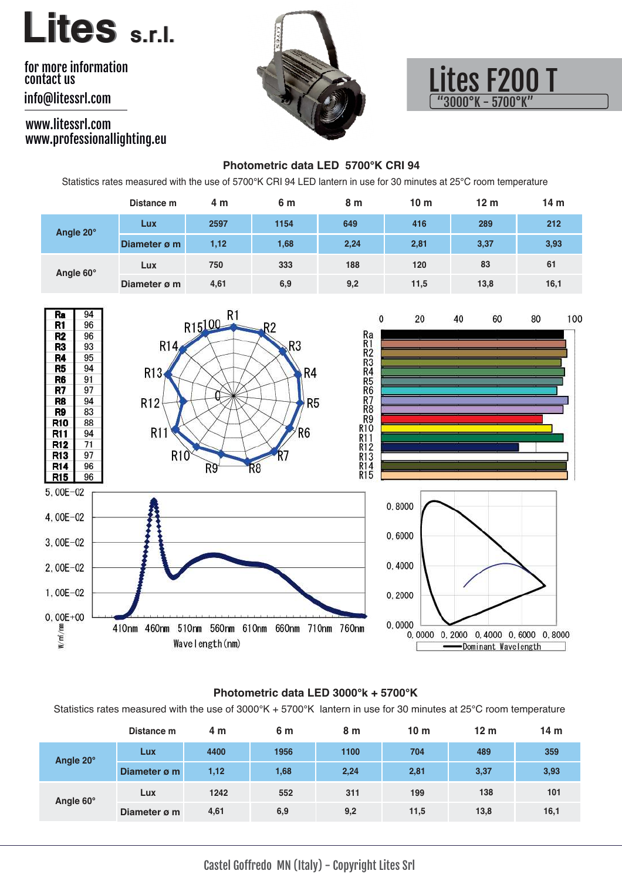## **Lites s.r.l.**

#### info@litessrl.com for more information contact us

#### www.litessrl.com www.professionallighting.eu





#### **Photometric data LED 5700°K CRI 94**

Statistics rates measured with the use of 5700°K CRI 94 LED lantern in use for 30 minutes at 25°C room temperature

|           | Distance m   | 4 m  | 6 m  | 8 m  | 10 <sub>m</sub> | 12 <sub>m</sub> | 14 <sub>m</sub> |
|-----------|--------------|------|------|------|-----------------|-----------------|-----------------|
| Angle 20° | Lux          | 2597 | 1154 | 649  | 416             | 289             | 212             |
|           | Diameter ø m | 1,12 | 1,68 | 2,24 | 2,81            | 3,37            | 3,93            |
| Angle 60° | Lux          | 750  | 333  | 188  | 120             | 83              | 61              |
|           | Diameter ø m | 4,61 | 6,9  | 9,2  | 11,5            | 13,8            | 16,1            |



#### **Photometric data LED 3000°k + 5700°K**

Statistics rates measured with the use of 3000°K + 5700°K lantern in use for 30 minutes at 25°C room temperature

|           | Distance m   | 4 m  | 6 m  | 8 m  | 10 <sub>m</sub> | 12 <sub>m</sub> | 14 <sub>m</sub> |
|-----------|--------------|------|------|------|-----------------|-----------------|-----------------|
| Angle 20° | Lux          | 4400 | 1956 | 1100 | 704             | 489             | 359             |
|           | Diameter ø m | 1,12 | 1,68 | 2,24 | 2,81            | 3,37            | 3,93            |
| Angle 60° | Lux          | 1242 | 552  | 311  | 199             | 138             | 101             |
|           | Diameter ø m | 4,61 | 6,9  | 9,2  | 11,5            | 13,8            | 16,1            |